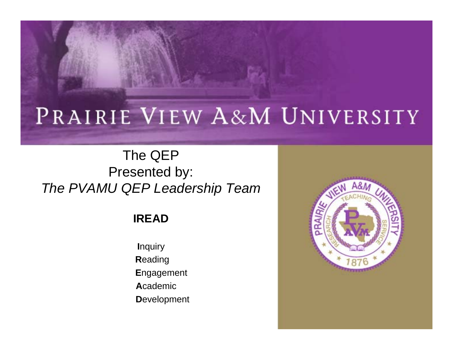### PRAIRIE VIEW A&M UNIVERSITY

#### The QEP Presented by: *The PVAMU QEP Leadership Team*

#### **IREAD**

**I**nquiry **R**eading **E**ngagement **A**cademic**D**evelopment

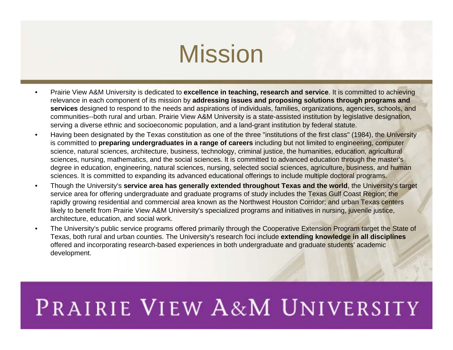### Mission

- • Prairie View A&M University is dedicated to **excellence in teaching, research and service**. It is committed to achieving relevance in each component of its mission by **addressing issues and proposing solutions through programs and services** designed to respond to the needs and aspirations of individuals, families, organizations, agencies, schools, and communities--both rural and urban. Prairie View A&M University is a state-assisted institution by legislative designation, serving a diverse ethnic and socioeconomic population, and a land-grant institution by federal statute.
- • Having been designated by the Texas constitution as one of the three "institutions of the first class" (1984), the University is committed to **preparing undergraduates in a range of careers** including but not limited to engineering, computer science, natural sciences, architecture, business, technology, criminal justice, the humanities, education, agricultural sciences, nursing, mathematics, and the social sciences. It is committed to advanced education through the master's degree in education, engineering, natural sciences, nursing, selected social sciences, agriculture, business, and human sciences. It is committed to expanding its advanced educational offerings to include multiple doctoral programs.
- • Though the University's **service area has generally extended throughout Texas and the world**, the University's target service area for offering undergraduate and graduate programs of study includes the Texas Gulf Coast Region; the rapidly growing residential and commercial area known as the Northwest Houston Corridor; and urban Texas centers likely to benefit from Prairie View A&M University's specialized programs and initiatives in nursing, juvenile justice, architecture, education, and social work.
- • The University's public service programs offered primarily through the Cooperative Extension Program target the State of Texas, both rural and urban counties. The University's research foci include **extending knowledge in all disciplines**  offered and incorporating research-based experiences in both undergraduate and graduate students' academic development.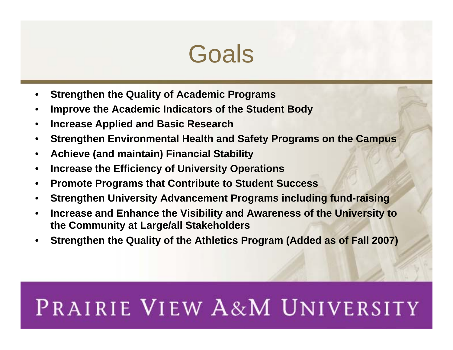### **Goals**

- •**Strengthen the Quality of Academic Programs**
- •**Improve the Academic Indicators of the Student Body**
- •**Increase Applied and Basic Research**
- •**Strengthen Environmental Health and Safety Programs on the Campus**
- •**Achieve (and maintain) Financial Stability**
- •**Increase the Efficiency of University Operations**
- •**Promote Programs that Contribute to Student Success**
- •**Strengthen University Advancement Programs including fund-raising**
- • **Increase and Enhance the Visibility and Awareness of the University to the Community at Large/all Stakeholders**
- •**Strengthen the Quality of the Athletics Program (Added as of Fall 2007)**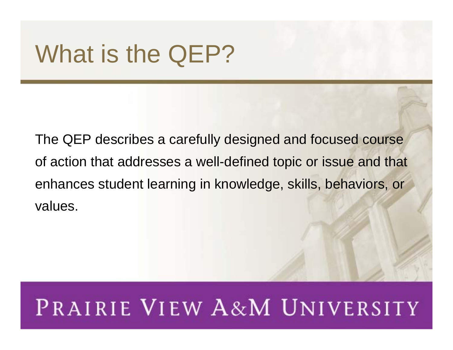# What is the QEP?

The QEP describes a carefully designed and focused course of action that addresses a well-defined topic or issue and that enhances student learning in knowledge, skills, behaviors, or values.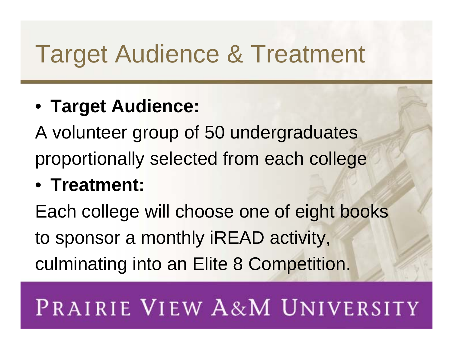# Target Audience & Treatment

### • **Target Audience:**

A volunteer group of 50 undergraduates proportionally selected from each college

### • **Treatment:**

Each college will choose one of eight books to sponsor a monthly iREAD activity, culminating into an Elite 8 Competition.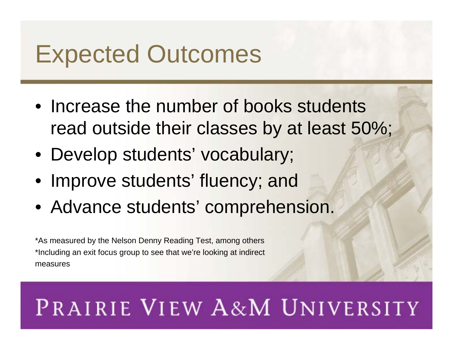# Expected Outcomes

- Increase the number of books students read outside their classes by at least 50%;
- Develop students' vocabulary;
- Improve students' fluency; and
- Advance students' comprehension.

\*As measured by the Nelson Denny Reading Test, among others \*Including an exit focus group to see that we're looking at indirect measures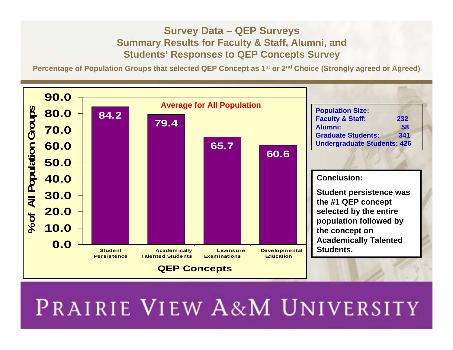#### **Survey Data – QEP Surveys Summary Results for Faculty & Staff, Alumni, and Students' Responses to QEP Concepts Survey**

**Percentage of Population Groups that selected QEP Concept as 1st or 2n<sup>d</sup> Choice (Strongly agreed or Agreed)**

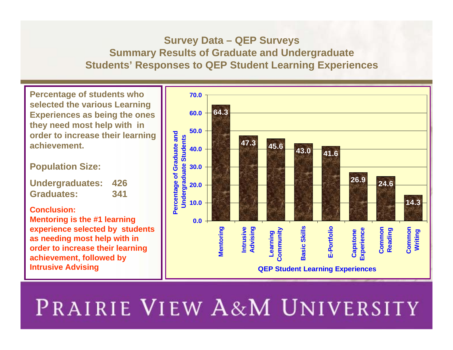#### **Survey Data – QEP Surveys Summary Results of Graduate and Undergraduate Students' Responses to QEP Student Learning Experiences**

**Percentage of students who selected the various Learning Experiences as being the ones they need most help with in order to increase their learning achievement.**

**Population Size:**

**Undergraduates: 426 Graduates: 341**

**Conclusion:Mentoring is the #1 learning experience selected by students as needing most help with in order to increase their learning achievement, followed by Intrusive Advising**

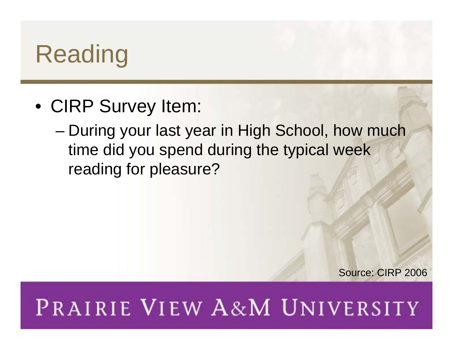# Reading

- CIRP Survey Item:
	- – During your last year in High School, how much time did you spend during the typical week reading for pleasure?

Source: CIRP 2006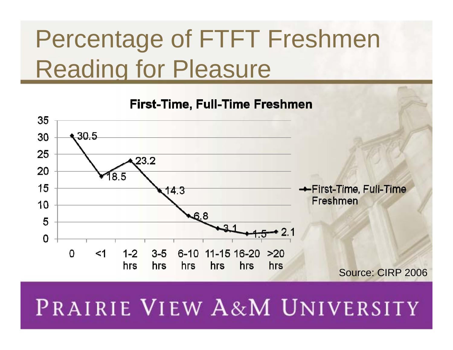# Percentage of FTFT Freshmen Reading for Pleasure

**First-Time, Full-Time Freshmen** 

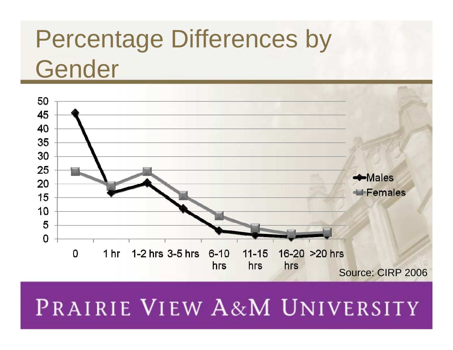# Percentage Differences by Gender

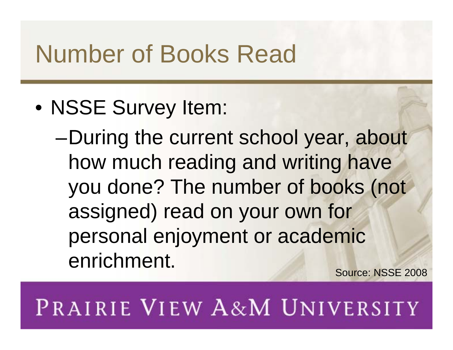# Number of Books Read

• NSSE Survey Item:

–During the current school year, about how much reading and writing have you done? The number of books (not assigned) read on your own for personal enjoyment or academic enrichment. Source: NSSE 2008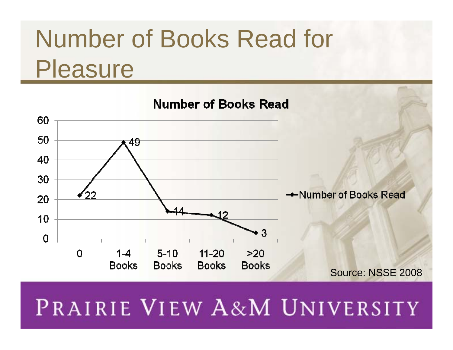# Number of Books Read for **Pleasure**

#### **Number of Books Read**